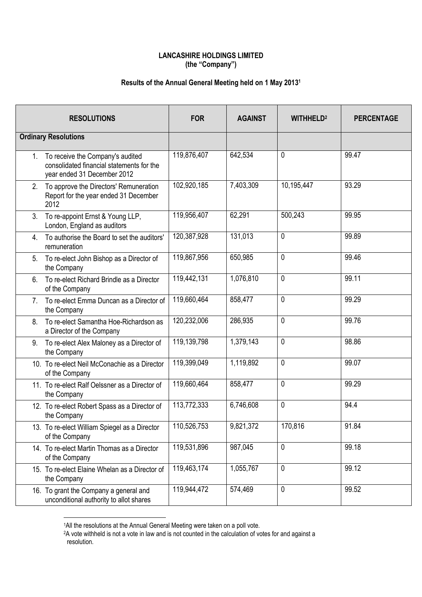## **LANCASHIRE HOLDINGS LIMITED (the "Company")**

## **Results of the Annual General Meeting held on 1 May 2013 1**

|                                 | <b>RESOLUTIONS</b>                                                                                           | <b>FOR</b>  | <b>AGAINST</b> | <b>WITHHELD?</b> | <b>PERCENTAGE</b> |
|---------------------------------|--------------------------------------------------------------------------------------------------------------|-------------|----------------|------------------|-------------------|
| <b>Ordinary Resolutions</b>     |                                                                                                              |             |                |                  |                   |
| $1_{-}$                         | To receive the Company's audited<br>consolidated financial statements for the<br>year ended 31 December 2012 | 119,876,407 | 642,534        | 0                | 99.47             |
| 2.                              | To approve the Directors' Remuneration<br>Report for the year ended 31 December<br>2012                      | 102,920,185 | 7,403,309      | 10,195,447       | 93.29             |
| 3.                              | To re-appoint Ernst & Young LLP,<br>London, England as auditors                                              | 119,956,407 | 62,291         | 500,243          | 99.95             |
| 4.                              | To authorise the Board to set the auditors'<br>remuneration                                                  | 120,387,928 | 131,013        | 0                | 99.89             |
| 5.                              | To re-elect John Bishop as a Director of<br>the Company                                                      | 119,867,956 | 650,985        | 0                | 99.46             |
| 6.                              | To re-elect Richard Brindle as a Director<br>of the Company                                                  | 119,442,131 | 1,076,810      | 0                | 99.11             |
| $7_{\scriptscriptstyle{\circ}}$ | To re-elect Emma Duncan as a Director of<br>the Company                                                      | 119,660,464 | 858,477        | 0                | 99.29             |
| 8.                              | To re-elect Samantha Hoe-Richardson as<br>a Director of the Company                                          | 120,232,006 | 286,935        | 0                | 99.76             |
| 9.                              | To re-elect Alex Maloney as a Director of<br>the Company                                                     | 119,139,798 | 1,379,143      | 0                | 98.86             |
|                                 | 10. To re-elect Neil McConachie as a Director<br>of the Company                                              | 119,399,049 | 1,119,892      | 0                | 99.07             |
|                                 | 11. To re-elect Ralf Oelssner as a Director of<br>the Company                                                | 119,660,464 | 858,477        | 0                | 99.29             |
|                                 | 12. To re-elect Robert Spass as a Director of<br>the Company                                                 | 113,772,333 | 6,746,608      | 0                | 94.4              |
|                                 | 13. To re-elect William Spiegel as a Director<br>of the Company                                              | 110,526,753 | 9,821,372      | 170,816          | 91.84             |
|                                 | 14. To re-elect Martin Thomas as a Director<br>of the Company                                                | 119,531,896 | 987,045        | 0                | 99.18             |
|                                 | 15. To re-elect Elaine Whelan as a Director of<br>the Company                                                | 119,463,174 | 1,055,767      | 0                | 99.12             |
|                                 | 16. To grant the Company a general and<br>unconditional authority to allot shares                            | 119,944,472 | 574,469        | 0                | 99.52             |

<sup>1</sup>All the resolutions at the Annual General Meeting were taken on a poll vote.

 $\overline{a}$ 

<sup>&</sup>lt;sup>2</sup>A vote withheld is not a vote in law and is not counted in the calculation of votes for and against a resolution.